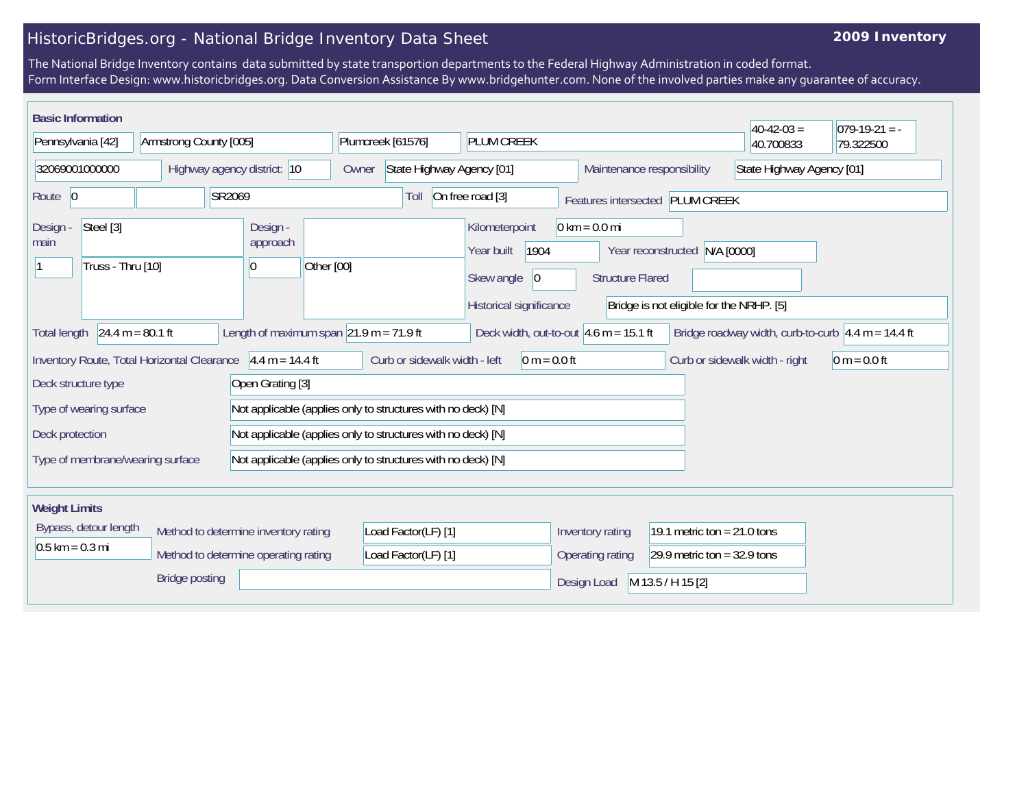## HistoricBridges.org - National Bridge Inventory Data Sheet

## **2009 Inventory**

The National Bridge Inventory contains data submitted by state transportion departments to the Federal Highway Administration in coded format. Form Interface Design: www.historicbridges.org. Data Conversion Assistance By www.bridgehunter.com. None of the involved parties make any guarantee of accuracy.

| <b>Basic Information</b>                                                                                                                                                                                            |                        |                                                                              |                                                         |                                                                                      |                                                            |                                                                              | $40-42-03 =$                   | $ 079-19-21 = -$ |
|---------------------------------------------------------------------------------------------------------------------------------------------------------------------------------------------------------------------|------------------------|------------------------------------------------------------------------------|---------------------------------------------------------|--------------------------------------------------------------------------------------|------------------------------------------------------------|------------------------------------------------------------------------------|--------------------------------|------------------|
| Pennsylvania [42]                                                                                                                                                                                                   | Armstrong County [005] |                                                                              | Plumcreek [61576]                                       | <b>PLUM CREEK</b>                                                                    |                                                            |                                                                              | 40.700833                      | 79.322500        |
| 32069001000000<br>Highway agency district: 10                                                                                                                                                                       |                        | Owner                                                                        | State Highway Agency [01]<br>Maintenance responsibility |                                                                                      |                                                            | State Highway Agency [01]                                                    |                                |                  |
| Route 0                                                                                                                                                                                                             |                        | SR2069                                                                       | Toll                                                    | On free road [3]                                                                     |                                                            | Features intersected PLUM CREEK                                              |                                |                  |
| Steel [3]<br>Design -<br>main<br>Truss - Thru [10]                                                                                                                                                                  |                        | Design -<br>approach<br>Other [00]<br>$\overline{0}$                         |                                                         | Kilometerpoint<br>1904<br>Year built<br>Skew angle<br> 0 <br>Historical significance | $0 \text{ km} = 0.0 \text{ mi}$<br><b>Structure Flared</b> | N/A [0000]<br>Year reconstructed<br>Bridge is not eligible for the NRHP. [5] |                                |                  |
| Length of maximum span $ 21.9 \text{ m} = 71.9 \text{ ft} $<br>$24.4 m = 80.1 ft$<br>Deck width, out-to-out $4.6$ m = 15.1 ft<br>Bridge roadway width, curb-to-curb $\sqrt{4.4}$ m = 14.4 ft<br><b>Total length</b> |                        |                                                                              |                                                         |                                                                                      |                                                            |                                                                              |                                |                  |
| Inventory Route, Total Horizontal Clearance                                                                                                                                                                         |                        | $4.4 m = 14.4 ft$                                                            | Curb or sidewalk width - left                           | $0 m = 0.0 ft$                                                                       |                                                            |                                                                              | Curb or sidewalk width - right | $0 m = 0.0 ft$   |
| Deck structure type                                                                                                                                                                                                 |                        | Open Grating [3]                                                             |                                                         |                                                                                      |                                                            |                                                                              |                                |                  |
| Type of wearing surface                                                                                                                                                                                             |                        | Not applicable (applies only to structures with no deck) [N]                 |                                                         |                                                                                      |                                                            |                                                                              |                                |                  |
| Deck protection                                                                                                                                                                                                     |                        | Not applicable (applies only to structures with no deck) [N]                 |                                                         |                                                                                      |                                                            |                                                                              |                                |                  |
| Type of membrane/wearing surface                                                                                                                                                                                    |                        | Not applicable (applies only to structures with no deck) [N]                 |                                                         |                                                                                      |                                                            |                                                                              |                                |                  |
| <b>Weight Limits</b>                                                                                                                                                                                                |                        |                                                                              |                                                         |                                                                                      |                                                            |                                                                              |                                |                  |
| Bypass, detour length<br>$0.5$ km = 0.3 mi                                                                                                                                                                          |                        | Method to determine inventory rating<br>Method to determine operating rating | Load Factor(LF) [1]<br>Load Factor(LF) [1]              |                                                                                      | Inventory rating<br>Operating rating                       | 19.1 metric ton = $21.0$ tons<br>29.9 metric ton = $32.9$ tons               |                                |                  |
|                                                                                                                                                                                                                     | <b>Bridge posting</b>  |                                                                              |                                                         |                                                                                      | Design Load                                                | M 13.5 / H 15 [2]                                                            |                                |                  |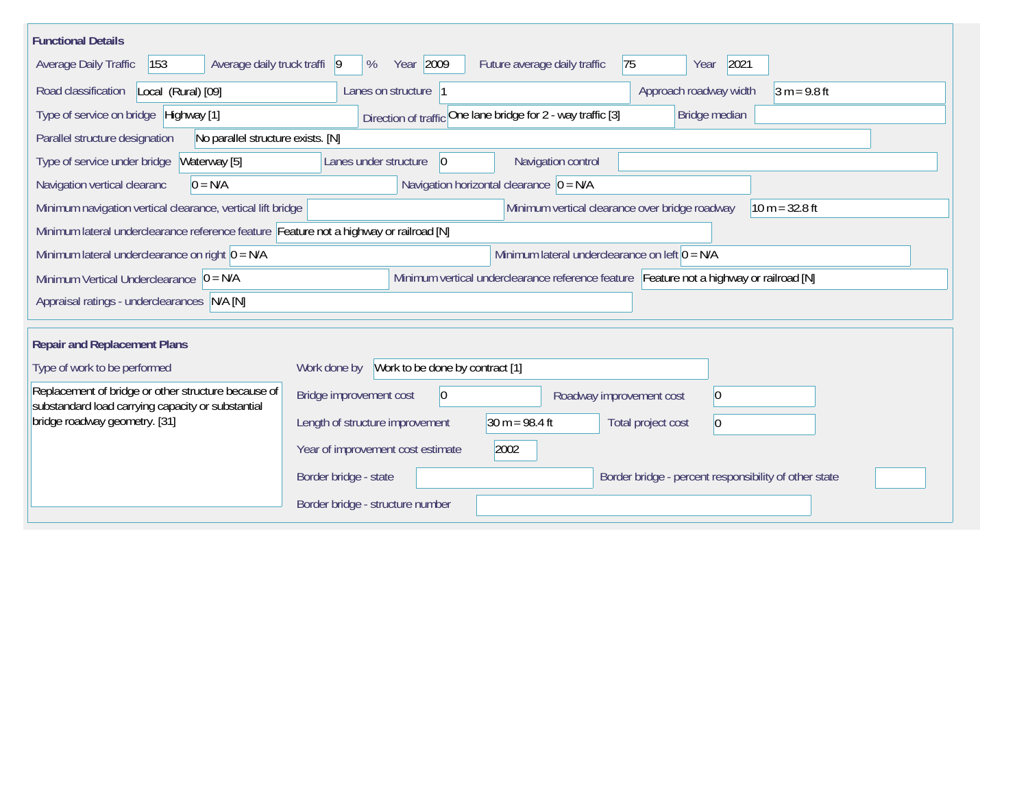| <b>Functional Details</b>                                                                                                              |                                                 |                                                              |                                                       |                |  |  |  |
|----------------------------------------------------------------------------------------------------------------------------------------|-------------------------------------------------|--------------------------------------------------------------|-------------------------------------------------------|----------------|--|--|--|
| 153<br>Average daily truck traffi  9<br>Average Daily Traffic                                                                          | Year 2009<br>%                                  | 75<br>Future average daily traffic                           | 2021<br>Year                                          |                |  |  |  |
| Road classification<br>Local (Rural) [09]                                                                                              | Lanes on structure 1                            |                                                              | Approach roadway width                                | $3 m = 9.8 ft$ |  |  |  |
| Type of service on bridge Highway [1]                                                                                                  |                                                 | Direction of traffic One lane bridge for 2 - way traffic [3] | Bridge median                                         |                |  |  |  |
| Parallel structure designation<br>No parallel structure exists. [N]                                                                    |                                                 |                                                              |                                                       |                |  |  |  |
| Type of service under bridge<br>Waterway [5]                                                                                           | Lanes under structure<br>$\vert 0 \vert$        | Navigation control                                           |                                                       |                |  |  |  |
| Navigation vertical clearanc<br>$0 = N/A$                                                                                              |                                                 | Navigation horizontal clearance $ 0 = N/A$                   |                                                       |                |  |  |  |
| Minimum vertical clearance over bridge roadway<br>$10 m = 32.8 ft$<br>Minimum navigation vertical clearance, vertical lift bridge      |                                                 |                                                              |                                                       |                |  |  |  |
| Minimum lateral underclearance reference feature Feature not a highway or railroad [N]                                                 |                                                 |                                                              |                                                       |                |  |  |  |
| Minimum lateral underclearance on left $0 = N/A$<br>Minimum lateral underclearance on right $0 = N/A$                                  |                                                 |                                                              |                                                       |                |  |  |  |
| Minimum vertical underclearance reference feature Feature not a highway or railroad [N]<br>Minimum Vertical Underclearance $ 0 = N/A $ |                                                 |                                                              |                                                       |                |  |  |  |
| Appraisal ratings - underclearances N/A [N]                                                                                            |                                                 |                                                              |                                                       |                |  |  |  |
|                                                                                                                                        |                                                 |                                                              |                                                       |                |  |  |  |
| <b>Repair and Replacement Plans</b>                                                                                                    |                                                 |                                                              |                                                       |                |  |  |  |
| Type of work to be performed                                                                                                           | Work to be done by contract [1]<br>Work done by |                                                              |                                                       |                |  |  |  |
| Replacement of bridge or other structure because of<br>substandard load carrying capacity or substantial                               | 0<br>Bridge improvement cost                    | Roadway improvement cost                                     | 0                                                     |                |  |  |  |
| bridge roadway geometry. [31]                                                                                                          | Length of structure improvement                 | $30 m = 98.4 ft$                                             | Total project cost<br>$\vert 0 \vert$                 |                |  |  |  |
|                                                                                                                                        | Year of improvement cost estimate               | 2002                                                         |                                                       |                |  |  |  |
|                                                                                                                                        | Border bridge - state                           |                                                              | Border bridge - percent responsibility of other state |                |  |  |  |
|                                                                                                                                        | Border bridge - structure number                |                                                              |                                                       |                |  |  |  |